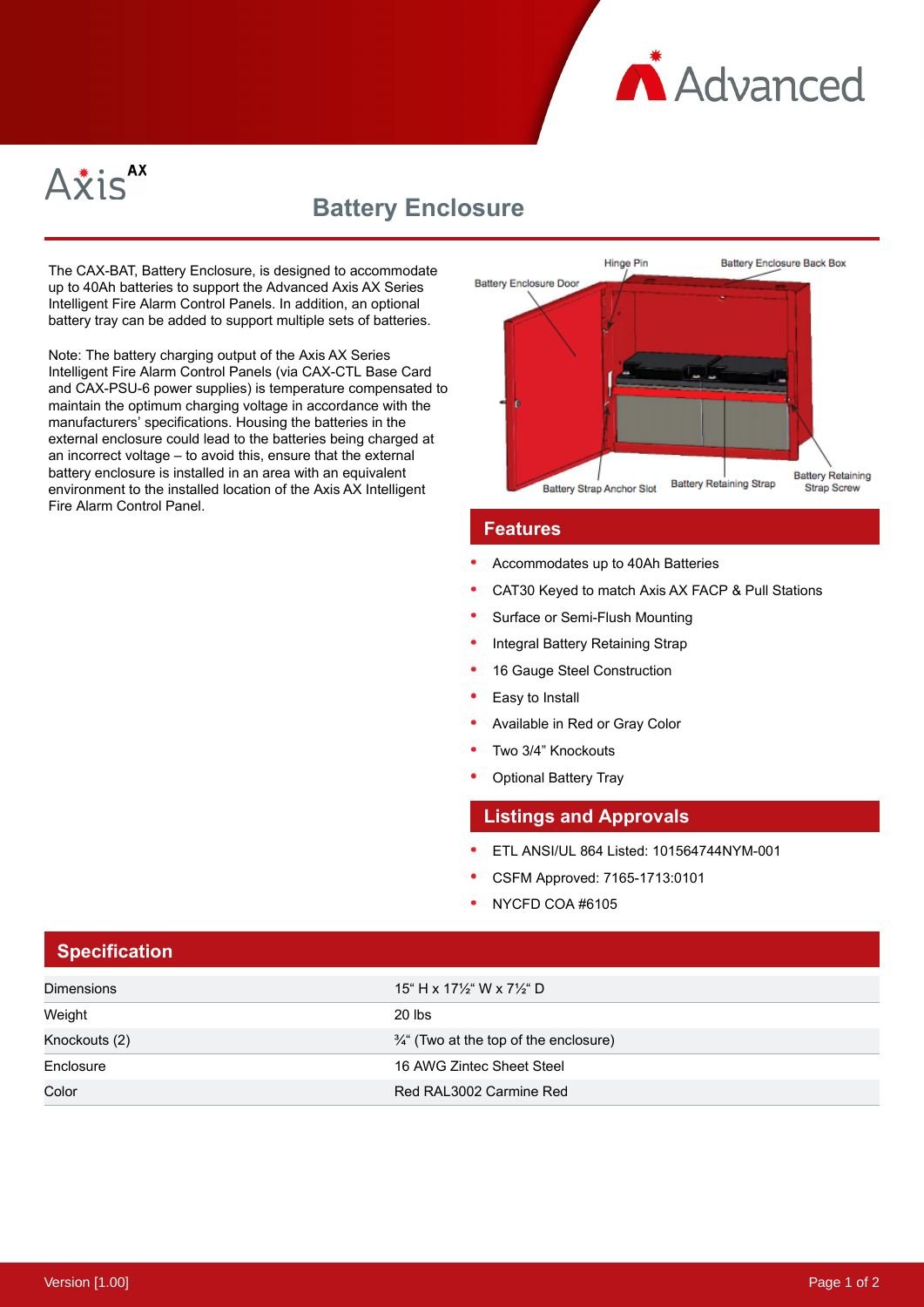



# **Battery Enclosure**

The CAX-BAT, Battery Enclosure, is designed to accommodate up to 40Ah batteries to support the Advanced Axis AX Series Intelligent Fire Alarm Control Panels. In addition, an optional battery tray can be added to support multiple sets of batteries.

Note: The battery charging output of the Axis AX Series Intelligent Fire Alarm Control Panels (via CAX-CTL Base Card and CAX-PSU-6 power supplies) is temperature compensated to maintain the optimum charging voltage in accordance with the manufacturers' specifications. Housing the batteries in the external enclosure could lead to the batteries being charged at an incorrect voltage – to avoid this, ensure that the external battery enclosure is installed in an area with an equivalent environment to the installed location of the Axis AX Intelligent Fire Alarm Control Panel.



#### **Features**

- Accommodates up to 40Ah Batteries
- CAT30 Keyed to match Axis AX FACP & Pull Stations
- Surface or Semi-Flush Mounting
- Integral Battery Retaining Strap
- 16 Gauge Steel Construction
- Easy to Install
- Available in Red or Gray Color
- Two 3/4" Knockouts
- Optional Battery Tray

#### **Listings and Approvals**

- ETL ANSI/UL 864 Listed: 101564744NYM-001
- CSFM Approved: 7165-1713:0101
- NYCFD COA #6105

| <b>Specification</b> |                                                   |
|----------------------|---------------------------------------------------|
| <b>Dimensions</b>    | 15" H x 17½" W x 7½" D                            |
| Weight               | $20$ lbs                                          |
| Knockouts (2)        | $\frac{3}{4}$ " (Two at the top of the enclosure) |
| Enclosure            | 16 AWG Zintec Sheet Steel                         |
| Color                | Red RAL3002 Carmine Red                           |

### **Specification**